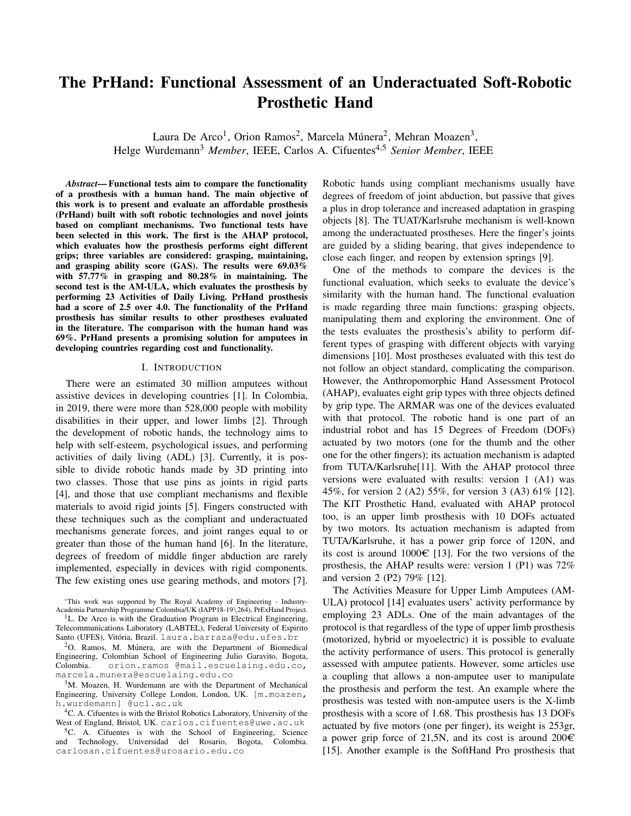# The PrHand: Functional Assessment of an Underactuated Soft-Robotic **Prosthetic Hand**

Laura De Arco<sup>1</sup>, Orion Ramos<sup>2</sup>, Marcela Múnera<sup>2</sup>, Mehran Moazen<sup>3</sup>, Helge Wurdemann<sup>3</sup> Member, IEEE, Carlos A. Cifuentes<sup>4,5</sup> Senior Member, IEEE

*Abstract*—Functional tests aim to compare the functionality of a prosthesis with a human hand. The main objective of this work is to present and evaluate an affordable prosthesis (PrHand) built with soft robotic technologies and novel joints based on compliant mechanisms. Two functional tests have been selected in this work. The first is the AHAP protocol, which evaluates how the prosthesis performs eight different grips; three variables are considered: grasping, maintaining, and grasping ability score (GAS). The results were 69.03% with  $57.77\%$  in grasping and  $80.28\%$  in maintaining. The second test is the AM-ULA, which evaluates the prosthesis by performing 23 Activities of Daily Living. PrHand prosthesis had a score of 2.5 over 4.0. The functionality of the PrHand prosthesis has similar results to other prostheses evaluated in the literature. The comparison with the human hand was 69%. PrHand presents a promising solution for amputees in developing countries regarding cost and functionality.

# I. INTRODUCTION

There were an estimated 30 million amputees without assistive devices in developing countries [1]. In Colombia, in 2019, there were more than 528,000 people with mobility disabilities in their upper, and lower limbs [2]. Through the development of robotic hands, the technology aims to help with self-esteem, psychological issues, and performing activities of daily living (ADL) [3]. Currently, it is possible to divide robotic hands made by 3D printing into two classes. Those that use pins as joints in rigid parts [4], and those that use compliant mechanisms and flexible materials to avoid rigid joints [5]. Fingers constructed with these techniques such as the compliant and underactuated mechanisms generate forces, and joint ranges equal to or greater than those of the human hand [6]. In the literature, degrees of freedom of middle finger abduction are rarely implemented, especially in devices with rigid components. The few existing ones use gearing methods, and motors [7].

Robotic hands using compliant mechanisms usually have degrees of freedom of joint abduction, but passive that gives a plus in drop tolerance and increased adaptation in grasping objects [8]. The TUAT/Karlsruhe mechanism is well-known among the underactuated prostheses. Here the finger's joints are guided by a sliding bearing, that gives independence to close each finger, and reopen by extension springs [9].

One of the methods to compare the devices is the functional evaluation, which seeks to evaluate the device's similarity with the human hand. The functional evaluation is made regarding three main functions: grasping objects, manipulating them and exploring the environment. One of the tests evaluates the prosthesis's ability to perform different types of grasping with different objects with varying dimensions [10]. Most prostheses evaluated with this test do not follow an object standard, complicating the comparison. However, the Anthropomorphic Hand Assessment Protocol (AHAP), evaluates eight grip types with three objects defined by grip type. The ARMAR was one of the devices evaluated with that protocol. The robotic hand is one part of an industrial robot and has 15 Degrees of Freedom (DOFs) actuated by two motors (one for the thumb and the other one for the other fingers); its actuation mechanism is adapted from TUTA/Karlsruhe<sup>[11]</sup>. With the AHAP protocol three versions were evaluated with results: version 1 (A1) was 45%, for version 2 (A2) 55%, for version 3 (A3) 61% [12]. The KIT Prosthetic Hand, evaluated with AHAP protocol too, is an upper limb prosthesis with 10 DOFs actuated by two motors. Its actuation mechanism is adapted from TUTA/Karlsruhe, it has a power grip force of 120N, and its cost is around  $1000 \in [13]$ . For the two versions of the prosthesis, the AHAP results were: version 1 (P1) was  $72\%$ and version 2 (P2) 79% [12].

The Activities Measure for Upper Limb Amputees (AM-ULA) protocol [14] evaluates users' activity performance by employing 23 ADLs. One of the main advantages of the protocol is that regardless of the type of upper limb prosthesis (motorized, hybrid or myoelectric) it is possible to evaluate the activity performance of users. This protocol is generally assessed with amputee patients. However, some articles use a coupling that allows a non-ampute user to manipulate the prosthesis and perform the test. An example where the prosthesis was tested with non-amputee users is the X-limb prosthesis with a score of 1.68. This prosthesis has 13 DOFs actuated by five motors (one per finger), its weight is 253gr, a power grip force of 21,5N, and its cost is around  $200 \in$ [15]. Another example is the SoftHand Pro prosthesis that

<sup>\*</sup>This work was supported by The Royal Academy of Engineering - Industry-Academia Partnership Programme Colombia/UK (IAPP18-19\264), PrExHand Project.

<sup>&</sup>lt;sup>1</sup>L. De Arco is with the Graduation Program in Electrical Engineering, Telecommunications Laboratory (LABTEL), Federal University of Espirito Santo (UFES), Vitória, Brazil. laura.barraza@edu.ufes.br

<sup>&</sup>lt;sup>2</sup>O. Ramos, M. Múnera, are with the Department of Biomedical Engineering, Colombian School of Engineering Julio Garavito, Bogota, Colombia. orion.ramos @mail.escuelaing.edu.co, marcela.munera@escuelaing.edu.co

<sup>&</sup>lt;sup>3</sup>M. Moazen, H. Wurdemann are with the Department of Mechanical Engineering, University College London, London, UK. [m.moazen, h.wurdemann] @ucl.ac.uk

<sup>&</sup>lt;sup>4</sup>C. A. Cifuentes is with the Bristol Robotics Laboratory, University of the West of England, Bristol, UK. carlos.cifuentes@uwe.ac.uk

<sup>&</sup>lt;sup>5</sup>C. A. Cifuentes is with the School of Engineering, Science and Technology, Universidad del Rosario, Bogota, Colombia. carlosan.cifuentes@urosario.edu.co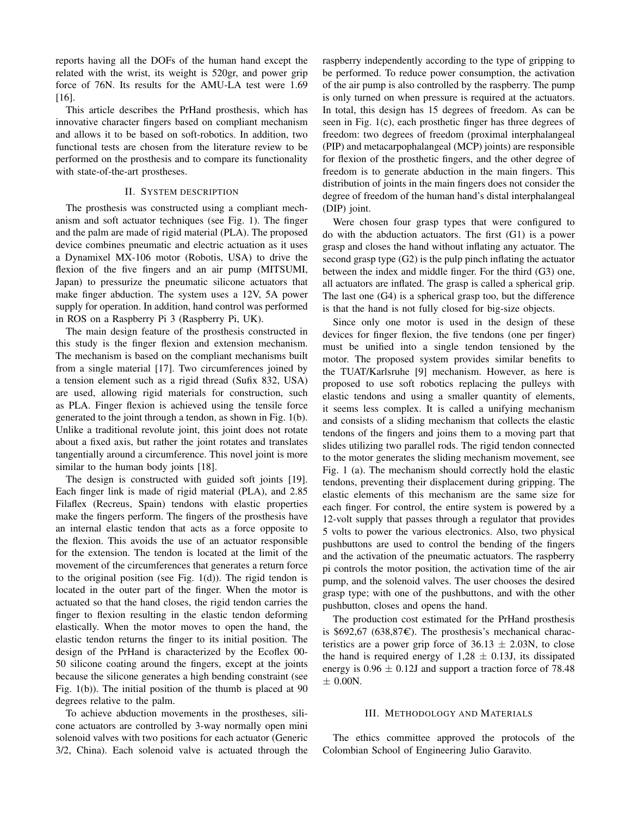reports having all the DOFs of the human hand except the related with the wrist, its weight is 520gr, and power grip force of 76N. Its results for the AMU-LA test were 1.69  $[16]$ .

This article describes the PrHand prosthesis, which has innovative character fingers based on compliant mechanism and allows it to be based on soft-robotics. In addition, two functional tests are chosen from the literature review to be performed on the prosthesis and to compare its functionality with state-of-the-art prostheses.

# II. SYSTEM DESCRIPTION

The prosthesis was constructed using a compliant mechanism and soft actuator techniques (see Fig. 1). The finger and the palm are made of rigid material (PLA). The proposed device combines pneumatic and electric actuation as it uses a Dynamixel MX-106 motor (Robotis, USA) to drive the flexion of the five fingers and an air pump (MITSUMI, Japan) to pressurize the pneumatic silicone actuators that make finger abduction. The system uses a 12V, 5A power supply for operation. In addition, hand control was performed in ROS on a Raspberry Pi 3 (Raspberry Pi, UK).

The main design feature of the prosthesis constructed in this study is the finger flexion and extension mechanism. The mechanism is based on the compliant mechanisms built from a single material [17]. Two circumferences joined by a tension element such as a rigid thread (Sufix 832, USA) are used, allowing rigid materials for construction, such as PLA. Finger flexion is achieved using the tensile force generated to the joint through a tendon, as shown in Fig. 1(b). Unlike a traditional revolute joint, this joint does not rotate about a fixed axis, but rather the joint rotates and translates tangentially around a circumference. This novel joint is more similar to the human body joints [18].

The design is constructed with guided soft joints [19]. Each finger link is made of rigid material (PLA), and 2.85 Filaflex (Recreus, Spain) tendons with elastic properties make the fingers perform. The fingers of the prosthesis have an internal elastic tendon that acts as a force opposite to the flexion. This avoids the use of an actuator responsible for the extension. The tendon is located at the limit of the movement of the circumferences that generates a return force to the original position (see Fig.  $1(d)$ ). The rigid tendon is located in the outer part of the finger. When the motor is actuated so that the hand closes, the rigid tendon carries the finger to flexion resulting in the elastic tendon deforming elastically. When the motor moves to open the hand, the elastic tendon returns the finger to its initial position. The design of the PrHand is characterized by the Ecoflex 00-50 silicone coating around the fingers, except at the joints because the silicone generates a high bending constraint (see Fig.  $1(b)$ ). The initial position of the thumb is placed at 90 degrees relative to the palm.

To achieve abduction movements in the prostheses, silicone actuators are controlled by 3-way normally open mini solenoid valves with two positions for each actuator (Generic 3/2, China). Each solenoid valve is actuated through the

raspberry independently according to the type of gripping to be performed. To reduce power consumption, the activation of the air pump is also controlled by the raspberry. The pump is only turned on when pressure is required at the actuators. In total, this design has 15 degrees of freedom. As can be seen in Fig. 1(c), each prosthetic finger has three degrees of freedom: two degrees of freedom (proximal interphalangeal (PIP) and metacarpophalangeal (MCP) joints) are responsible for flexion of the prosthetic fingers, and the other degree of freedom is to generate abduction in the main fingers. This distribution of joints in the main fingers does not consider the degree of freedom of the human hand's distal interphalangeal (DIP) joint.

Were chosen four grasp types that were configured to do with the abduction actuators. The first (G1) is a power grasp and closes the hand without inflating any actuator. The second grasp type  $(G2)$  is the pulp pinch inflating the actuator between the index and middle finger. For the third (G3) one, all actuators are inflated. The grasp is called a spherical grip. The last one  $(G4)$  is a spherical grasp too, but the difference is that the hand is not fully closed for big-size objects.

Since only one motor is used in the design of these devices for finger flexion, the five tendons (one per finger) must be unified into a single tendon tensioned by the motor. The proposed system provides similar benefits to the TUAT/Karlsruhe [9] mechanism. However, as here is proposed to use soft robotics replacing the pulleys with elastic tendons and using a smaller quantity of elements, it seems less complex. It is called a unifying mechanism and consists of a sliding mechanism that collects the elastic tendons of the fingers and joins them to a moving part that slides utilizing two parallel rods. The rigid tendon connected to the motor generates the sliding mechanism movement, see Fig. 1 (a). The mechanism should correctly hold the elastic tendons, preventing their displacement during gripping. The elastic elements of this mechanism are the same size for each finger. For control, the entire system is powered by a 12-volt supply that passes through a regulator that provides 5 volts to power the various electronics. Also, two physical pushbuttons are used to control the bending of the fingers and the activation of the pneumatic actuators. The raspberry pi controls the motor position, the activation time of the air pump, and the solenoid valves. The user chooses the desired grasp type; with one of the pushbuttons, and with the other pushbutton, closes and opens the hand.

The production cost estimated for the PrHand prosthesis is \$692,67 (638,87 $\epsilon$ ). The prosthesis's mechanical characteristics are a power grip force of  $36.13 \pm 2.03N$ , to close the hand is required energy of  $1,28 \pm 0.13$  j, its dissipated energy is  $0.96 \pm 0.12$  and support a traction force of 78.48  $\pm$  0.00N.

## **III. METHODOLOGY AND MATERIALS**

The ethics committee approved the protocols of the Colombian School of Engineering Julio Garavito.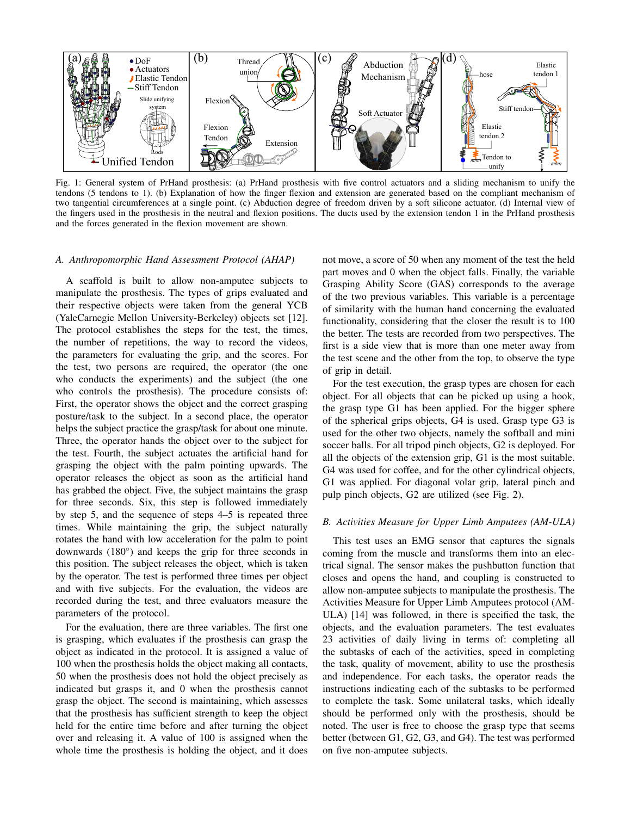

Fig. 1: General system of PrHand prosthesis: (a) PrHand prosthesis with five control actuators and a sliding mechanism to unify the tendons (5 tendons to 1). (b) Explanation of how the finger flexion and extension are generated based on the compliant mechanism of two tangential circumferences at a single point. (c) Abduction degree of freedom driven by a soft silicone actuator. (d) Internal view of the fingers used in the prosthesis in the neutral and flexion positions. The ducts used by the extension tendon 1 in the PrHand prosthesis and the forces generated in the flexion movement are shown.

# A. Anthropomorphic Hand Assessment Protocol (AHAP)

A scaffold is built to allow non-amputee subjects to manipulate the prosthesis. The types of grips evaluated and their respective objects were taken from the general YCB (YaleCarnegie Mellon University-Berkeley) objects set [12]. The protocol establishes the steps for the test, the times, the number of repetitions, the way to record the videos, the parameters for evaluating the grip, and the scores. For the test, two persons are required, the operator (the one who conducts the experiments) and the subject (the one who controls the prosthesis). The procedure consists of: First, the operator shows the object and the correct grasping posture/task to the subject. In a second place, the operator helps the subject practice the grasp/task for about one minute. Three, the operator hands the object over to the subject for the test. Fourth, the subject actuates the artificial hand for grasping the object with the palm pointing upwards. The operator releases the object as soon as the artificial hand has grabbed the object. Five, the subject maintains the grasp for three seconds. Six, this step is followed immediately by step 5, and the sequence of steps 4–5 is repeated three times. While maintaining the grip, the subject naturally rotates the hand with low acceleration for the palm to point downwards  $(180^{\circ})$  and keeps the grip for three seconds in this position. The subject releases the object, which is taken by the operator. The test is performed three times per object and with five subjects. For the evaluation, the videos are recorded during the test, and three evaluators measure the parameters of the protocol.

For the evaluation, there are three variables. The first one is grasping, which evaluates if the prosthesis can grasp the object as indicated in the protocol. It is assigned a value of 100 when the prosthesis holds the object making all contacts, 50 when the prosthesis does not hold the object precisely as indicated but grasps it, and 0 when the prosthesis cannot grasp the object. The second is maintaining, which assesses that the prosthesis has sufficient strength to keep the object held for the entire time before and after turning the object over and releasing it. A value of 100 is assigned when the whole time the prosthesis is holding the object, and it does

not move, a score of 50 when any moment of the test the held part moves and 0 when the object falls. Finally, the variable Grasping Ability Score (GAS) corresponds to the average of the two previous variables. This variable is a percentage of similarity with the human hand concerning the evaluated functionality, considering that the closer the result is to 100 the better. The tests are recorded from two perspectives. The first is a side view that is more than one meter away from the test scene and the other from the top, to observe the type of grip in detail.

For the test execution, the grasp types are chosen for each object. For all objects that can be picked up using a hook, the grasp type G1 has been applied. For the bigger sphere of the spherical grips objects, G4 is used. Grasp type G3 is used for the other two objects, namely the softball and mini soccer balls. For all tripod pinch objects, G2 is deployed. For all the objects of the extension grip, G1 is the most suitable. G4 was used for coffee, and for the other cylindrical objects, G1 was applied. For diagonal volar grip, lateral pinch and pulp pinch objects, G2 are utilized (see Fig. 2).

# B. Activities Measure for Upper Limb Amputees (AM-ULA)

This test uses an EMG sensor that captures the signals coming from the muscle and transforms them into an electrical signal. The sensor makes the pushbutton function that closes and opens the hand, and coupling is constructed to allow non-amputee subjects to manipulate the prosthesis. The Activities Measure for Upper Limb Amputees protocol (AM-ULA) [14] was followed, in there is specified the task, the objects, and the evaluation parameters. The test evaluates 23 activities of daily living in terms of: completing all the subtasks of each of the activities, speed in completing the task, quality of movement, ability to use the prosthesis and independence. For each tasks, the operator reads the instructions indicating each of the subtasks to be performed to complete the task. Some unilateral tasks, which ideally should be performed only with the prosthesis, should be noted. The user is free to choose the grasp type that seems better (between G1, G2, G3, and G4). The test was performed on five non-amputee subjects.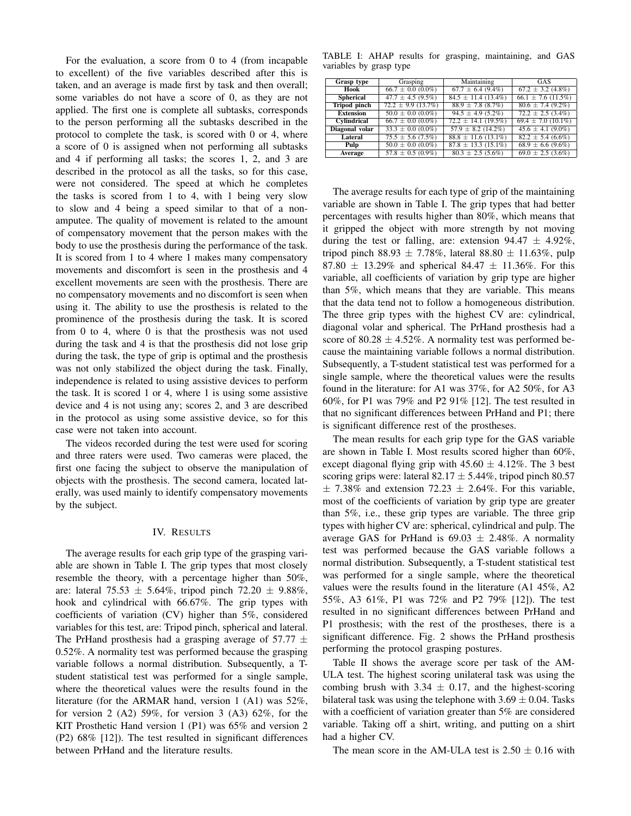For the evaluation, a score from  $0$  to  $4$  (from incapable to excellent) of the five variables described after this is taken, and an average is made first by task and then overall; some variables do not have a score of 0, as they are not applied. The first one is complete all subtasks, corresponds to the person performing all the subtasks described in the protocol to complete the task, is scored with 0 or 4, where a score of 0 is assigned when not performing all subtasks and 4 if performing all tasks; the scores 1, 2, and 3 are described in the protocol as all the tasks, so for this case, were not considered. The speed at which he completes the tasks is scored from 1 to 4, with 1 being very slow to slow and 4 being a speed similar to that of a nonamputee. The quality of movement is related to the amount of compensatory movement that the person makes with the body to use the prosthesis during the performance of the task. It is scored from 1 to 4 where 1 makes many compensatory movements and discomfort is seen in the prosthesis and 4 excellent movements are seen with the prosthesis. There are no compensatory movements and no discomfort is seen when using it. The ability to use the prosthesis is related to the prominence of the prosthesis during the task. It is scored from  $0$  to  $4$ , where  $0$  is that the prosthesis was not used during the task and 4 is that the prosthesis did not lose grip during the task, the type of grip is optimal and the prosthesis was not only stabilized the object during the task. Finally, independence is related to using assistive devices to perform the task. It is scored 1 or 4, where 1 is using some assistive device and 4 is not using any; scores 2, and 3 are described in the protocol as using some assistive device, so for this case were not taken into account.

The videos recorded during the test were used for scoring and three raters were used. Two cameras were placed, the first one facing the subject to observe the manipulation of objects with the prosthesis. The second camera, located laterally, was used mainly to identify compensatory movements by the subject.

## IV. RESULTS

The average results for each grip type of the grasping variable are shown in Table I. The grip types that most closely resemble the theory, with a percentage higher than 50%, are: lateral 75.53  $\pm$  5.64%, tripod pinch 72.20  $\pm$  9.88%, hook and cylindrical with 66.67%. The grip types with coefficients of variation (CV) higher than 5%, considered variables for this test, are: Tripod pinch, spherical and lateral. The PrHand prosthesis had a grasping average of 57.77  $\pm$ 0.52%. A normality test was performed because the grasping variable follows a normal distribution. Subsequently, a Tstudent statistical test was performed for a single sample, where the theoretical values were the results found in the literature (for the ARMAR hand, version 1  $(A1)$  was 52%, for version 2 (A2) 59%, for version 3 (A3) 62%, for the KIT Prosthetic Hand version 1 (P1) was 65% and version 2 (P2) 68% [12]). The test resulted in significant differences between PrHand and the literature results.

TABLE I: AHAP results for grasping, maintaining, and GAS variables by grasp type

| Grasp type            | Grasping                 | Maintaining              | GAS                    |
|-----------------------|--------------------------|--------------------------|------------------------|
| Hook                  | $66.7 \pm 0.0$ $(0.0\%)$ | $67.7 \pm 6.4$ (9.4%)    | $67.2 \pm 3.2$ (4.8%)  |
| <b>Spherical</b>      | $47.7 \pm 4.5 (9.5\%)$   | $84.5 \pm 11.4(13.4\%)$  | $66.1 \pm 7.6$ (11.5%) |
| <b>Tripod</b> pinch   | $72.2 \pm 9.9$ (13.7%)   | $88.9 \pm 7.8$ $(8.7\%)$ | $80.6 \pm 7.4$ (9.2%)  |
| <b>Extension</b>      | $50.0 \pm 0.0$ (0.0%)    | $94.5 \pm 4.9$ (5.2%)    | $72.2 \pm 2.5$ (3.4%)  |
| Cylindrical           | $66.7 \pm 0.0$ (0.0%)    | $72.2 \pm 14.1$ (19.5%)  | $69.4 \pm 7.0$ (10.1%) |
| <b>Diagonal</b> volar | $33.3 \pm 0.0$ (0.0%)    | $57.9 \pm 8.2$ (14.2%)   | $45.6 \pm 4.1 (9.0\%)$ |
| Lateral               | $75.5 \pm 5.6$ (7.5%)    | $88.8 \pm 11.6$ (13.1%)  | $82.2 \pm 5.4$ (6.6%)  |
| Pulp                  | $50.0 \pm 0.0$ (0.0%)    | $87.8 \pm 13.3(15.1\%)$  | $68.9 \pm 6.6$ (9.6%)  |
| Average               | $57.8 \pm 0.5$ (0.9%)    | $80.3 \pm 2.5$ (5.6%)    | $69.0 \pm 2.5$ (3.6%)  |

The average results for each type of grip of the maintaining variable are shown in Table I. The grip types that had better percentages with results higher than 80%, which means that it gripped the object with more strength by not moving during the test or falling, are: extension  $94.47 \pm 4.92\%$ , tripod pinch 88.93  $\pm$  7.78%, lateral 88.80  $\pm$  11.63%, pulp 87.80  $\pm$  13.29% and spherical 84.47  $\pm$  11.36%. For this variable, all coefficients of variation by grip type are higher than 5%, which means that they are variable. This means that the data tend not to follow a homogeneous distribution. The three grip types with the highest CV are: cylindrical, diagonal volar and spherical. The PrHand prosthesis had a score of 80.28  $\pm$  4.52%. A normality test was performed because the maintaining variable follows a normal distribution. Subsequently, a T-student statistical test was performed for a single sample, where the theoretical values were the results found in the literature: for A1 was 37%, for A2 50%, for A3 60%, for P1 was 79% and P2 91% [12]. The test resulted in that no significant differences between PrHand and P1; there is significant difference rest of the prostheses.

The mean results for each grip type for the GAS variable are shown in Table I. Most results scored higher than 60%, except diagonal flying grip with  $45.60 \pm 4.12\%$ . The 3 best scoring grips were: lateral 82.17  $\pm$  5.44%, tripod pinch 80.57  $\pm$  7.38% and extension 72.23  $\pm$  2.64%. For this variable, most of the coefficients of variation by grip type are greater than  $5\%$ , i.e., these grip types are variable. The three grip types with higher CV are: spherical, cylindrical and pulp. The average GAS for PrHand is  $69.03 \pm 2.48\%$ . A normality test was performed because the GAS variable follows a normal distribution. Subsequently, a T-student statistical test was performed for a single sample, where the theoretical values were the results found in the literature (A1 45%, A2 55%, A3 61%, P1 was 72% and P2 79% [12]). The test resulted in no significant differences between PrHand and P1 prosthesis; with the rest of the prostheses, there is a significant difference. Fig. 2 shows the PrHand prosthesis performing the protocol grasping postures.

Table II shows the average score per task of the AM-ULA test. The highest scoring unilateral task was using the combing brush with 3.34  $\pm$  0.17, and the highest-scoring bilateral task was using the telephone with  $3.69 \pm 0.04$ . Tasks with a coefficient of variation greater than  $5\%$  are considered variable. Taking off a shirt, writing, and putting on a shirt had a higher CV.

The mean score in the AM-ULA test is  $2.50 \pm 0.16$  with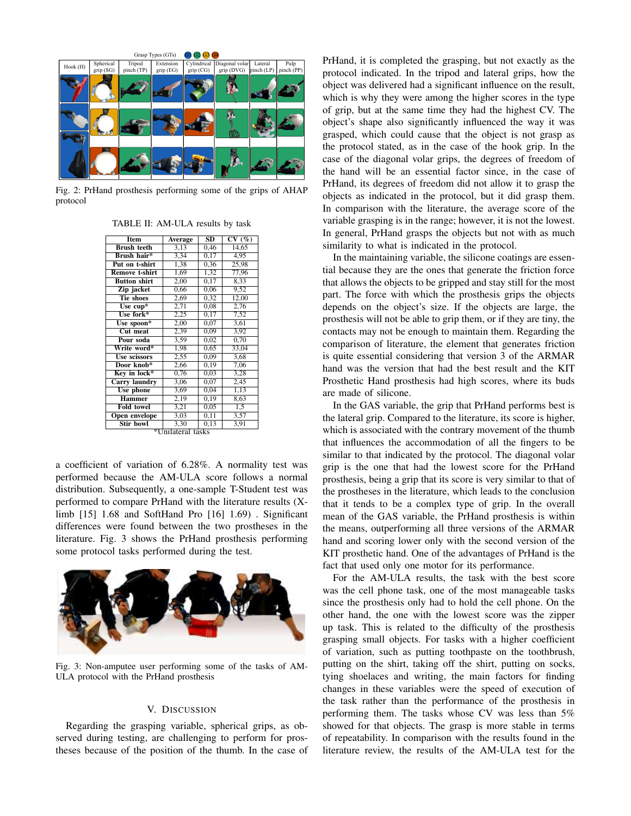

Fig. 2: PrHand prosthesis performing some of the grips of AHAP protocol

| TABLE II: AM-ULA results by task |  |
|----------------------------------|--|
|                                  |  |

| <b>Item</b>           | Average | $\overline{\text{SD}}$ | CV(%) |  |  |
|-----------------------|---------|------------------------|-------|--|--|
| <b>Brush teeth</b>    | 3,13    | 0,46                   | 14,65 |  |  |
| Brush hair*           | 3,34    | 0.17                   | 4.95  |  |  |
| Put on t-shirt        | 1,38    | 0,36                   | 25,98 |  |  |
| <b>Remove t-shirt</b> | 1,69    | 1,32                   | 77,96 |  |  |
| <b>Button shirt</b>   | 2,00    | 0.17                   | 8.33  |  |  |
| Zip jacket            | 0,66    | 0,06                   | 9,52  |  |  |
| <b>Tie shoes</b>      | 2,69    | 0,32                   | 12,00 |  |  |
| Use $cup^*$           | 2,71    | 0,08                   | 2,76  |  |  |
| Use fork*             | 2,25    | 0,17                   | 7,52  |  |  |
| Use spoon*            | 2,00    | 0,07                   | 3,61  |  |  |
| <b>Cut meat</b>       | 2,39    | 0,09                   | 3,92  |  |  |
| Pour soda             | 3,59    | 0.02                   | 0.70  |  |  |
| Write word*           | 1,98    | 0.65                   | 33.04 |  |  |
| Use scissors          | 2,55    | 0,09                   | 3,68  |  |  |
| Door knob*            | 2,66    | 0,19                   | 7,06  |  |  |
| Key in lock*          | 0,76    | 0,03                   | 3,28  |  |  |
| <b>Carry</b> laundry  | 3.06    | 0.07                   | 2,45  |  |  |
| Use phone             | 3,69    | 0,04                   | 1,13  |  |  |
| <b>Hammer</b>         | 2,19    | 0,19                   | 8,63  |  |  |
| <b>Fold towel</b>     | 3,21    | 0,05                   | 1,5   |  |  |
| <b>Open envelope</b>  | 3,03    | 0,11                   | 3,57  |  |  |
| <b>Stir bowl</b>      | 3,30    | 0,13                   | 3,91  |  |  |
| *Unilateral tasks     |         |                        |       |  |  |

a coefficient of variation of 6.28%. A normality test was performed because the AM-ULA score follows a normal distribution. Subsequently, a one-sample T-Student test was performed to compare PrHand with the literature results (Xlimb  $[15]$  1.68 and SoftHand Pro  $[16]$  1.69). Significant differences were found between the two prostheses in the literature. Fig. 3 shows the PrHand prosthesis performing some protocol tasks performed during the test.



Fig. 3: Non-amputee user performing some of the tasks of AM-ULA protocol with the PrHand prosthesis

#### V. DISCUSSION

Regarding the grasping variable, spherical grips, as observed during testing, are challenging to perform for prostheses because of the position of the thumb. In the case of PrHand, it is completed the grasping, but not exactly as the protocol indicated. In the tripod and lateral grips, how the object was delivered had a significant influence on the result, which is why they were among the higher scores in the type of grip, but at the same time they had the highest CV. The object's shape also significantly influenced the way it was grasped, which could cause that the object is not grasp as the protocol stated, as in the case of the hook grip. In the case of the diagonal volar grips, the degrees of freedom of the hand will be an essential factor since, in the case of PrHand, its degrees of freedom did not allow it to grasp the objects as indicated in the protocol, but it did grasp them. In comparison with the literature, the average score of the variable grasping is in the range; however, it is not the lowest. In general, PrHand grasps the objects but not with as much similarity to what is indicated in the protocol.

In the maintaining variable, the silicone coatings are essential because they are the ones that generate the friction force that allows the objects to be gripped and stay still for the most part. The force with which the prosthesis grips the objects depends on the object's size. If the objects are large, the prosthesis will not be able to grip them, or if they are tiny, the contacts may not be enough to maintain them. Regarding the comparison of literature, the element that generates friction is quite essential considering that version 3 of the ARMAR hand was the version that had the best result and the KIT Prosthetic Hand prosthesis had high scores, where its buds are made of silicone.

In the GAS variable, the grip that PrHand performs best is the lateral grip. Compared to the literature, its score is higher, which is associated with the contrary movement of the thumb that influences the accommodation of all the fingers to be similar to that indicated by the protocol. The diagonal volar grip is the one that had the lowest score for the PrHand prosthesis, being a grip that its score is very similar to that of the prostheses in the literature, which leads to the conclusion that it tends to be a complex type of grip. In the overall mean of the GAS variable, the PrHand prosthesis is within the means, outperforming all three versions of the ARMAR hand and scoring lower only with the second version of the KIT prosthetic hand. One of the advantages of PrHand is the fact that used only one motor for its performance.

For the AM-ULA results, the task with the best score was the cell phone task, one of the most manageable tasks since the prosthesis only had to hold the cell phone. On the other hand, the one with the lowest score was the zipper up task. This is related to the difficulty of the prosthesis grasping small objects. For tasks with a higher coefficient of variation, such as putting toothpaste on the toothbrush, putting on the shirt, taking off the shirt, putting on socks, tying shoelaces and writing, the main factors for finding changes in these variables were the speed of execution of the task rather than the performance of the prosthesis in performing them. The tasks whose CV was less than 5% showed for that objects. The grasp is more stable in terms of repeatability. In comparison with the results found in the literature review, the results of the AM-ULA test for the